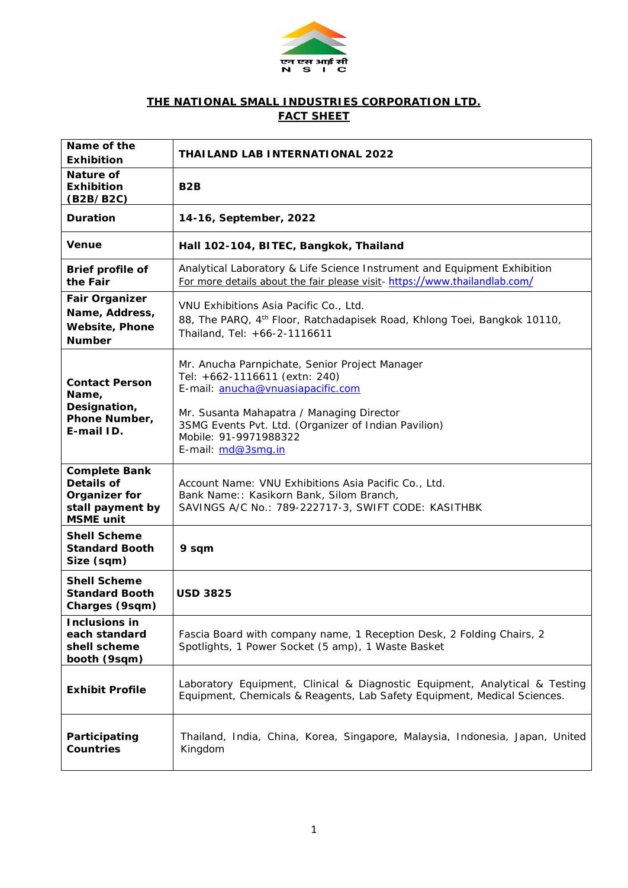

## **THE NATIONAL SMALL INDUSTRIES CORPORATION LTD. FACT SHEET**

| Name of the<br><b>Exhibition</b>                                                            | <b>THAILAND LAB INTERNATIONAL 2022</b>                                                                                                                                                                                                                                   |  |  |  |
|---------------------------------------------------------------------------------------------|--------------------------------------------------------------------------------------------------------------------------------------------------------------------------------------------------------------------------------------------------------------------------|--|--|--|
| <b>Nature of</b><br><b>Exhibition</b><br>(B2B/B2C)                                          | B <sub>2</sub> B                                                                                                                                                                                                                                                         |  |  |  |
| <b>Duration</b>                                                                             | 14-16, September, 2022                                                                                                                                                                                                                                                   |  |  |  |
| <b>Venue</b>                                                                                | Hall 102-104, BITEC, Bangkok, Thailand                                                                                                                                                                                                                                   |  |  |  |
| Brief profile of<br>the Fair                                                                | Analytical Laboratory & Life Science Instrument and Equipment Exhibition<br>For more details about the fair please visit-https://www.thailandlab.com/                                                                                                                    |  |  |  |
| <b>Fair Organizer</b><br>Name, Address,<br><b>Website, Phone</b><br><b>Number</b>           | VNU Exhibitions Asia Pacific Co., Ltd.<br>88, The PARQ, 4 <sup>th</sup> Floor, Ratchadapisek Road, Khlong Toei, Bangkok 10110,<br>Thailand, Tel: +66-2-1116611                                                                                                           |  |  |  |
| <b>Contact Person</b><br>Name,<br>Designation,<br>Phone Number,<br>E-mail ID.               | Mr. Anucha Parnpichate, Senior Project Manager<br>Tel: +662-1116611 (extn: 240)<br>E-mail: anucha@vnuasiapacific.com<br>Mr. Susanta Mahapatra / Managing Director<br>3SMG Events Pvt. Ltd. (Organizer of Indian Pavilion)<br>Mobile: 91-9971988322<br>E-mail: md@3smq.in |  |  |  |
| <b>Complete Bank</b><br>Details of<br>Organizer for<br>stall payment by<br><b>MSME</b> unit | Account Name: VNU Exhibitions Asia Pacific Co., Ltd.<br>Bank Name:: Kasikorn Bank, Silom Branch,<br>SAVINGS A/C No.: 789-222717-3, SWIFT CODE: KASITHBK                                                                                                                  |  |  |  |
| <b>Shell Scheme</b><br><b>Standard Booth</b><br>Size (sqm)                                  | 9 sqm                                                                                                                                                                                                                                                                    |  |  |  |
| <b>Shell Scheme</b><br><b>Standard Booth</b><br>Charges (9sqm)                              | <b>USD 3825</b>                                                                                                                                                                                                                                                          |  |  |  |
| <b>Inclusions in</b><br>each standard<br>shell scheme<br>booth (9sqm)                       | Fascia Board with company name, 1 Reception Desk, 2 Folding Chairs, 2<br>Spotlights, 1 Power Socket (5 amp), 1 Waste Basket                                                                                                                                              |  |  |  |
| <b>Exhibit Profile</b>                                                                      | Laboratory Equipment, Clinical & Diagnostic Equipment, Analytical & Testing<br>Equipment, Chemicals & Reagents, Lab Safety Equipment, Medical Sciences.                                                                                                                  |  |  |  |
| Participating<br><b>Countries</b>                                                           | Thailand, India, China, Korea, Singapore, Malaysia, Indonesia, Japan, United<br>Kingdom                                                                                                                                                                                  |  |  |  |